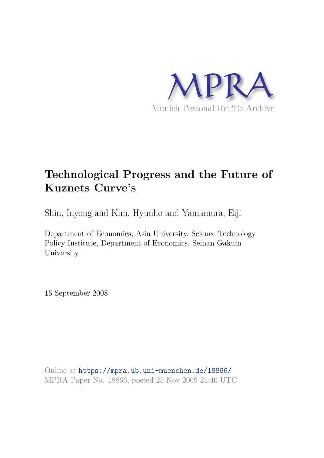

# **Technological Progress and the Future of Kuznets Curve's**

Shin, Inyong and Kim, Hyunho and Yamamura, Eiji

Department of Economics, Asia University, Science Technology Policy Institute, Department of Economics, Seinan Gakuin University

15 September 2008

Online at https://mpra.ub.uni-muenchen.de/18866/ MPRA Paper No. 18866, posted 25 Nov 2009 21:40 UTC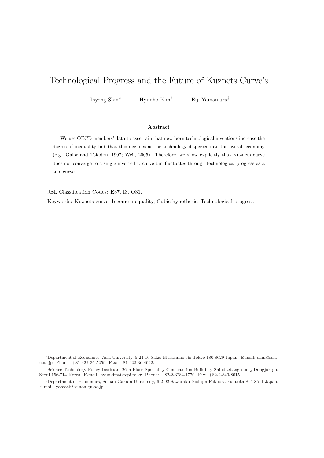## Technological Progress and the Future of Kuznets Curve's

Inyong Shin<sup>∗</sup> Hyunho Kim† Eiji Yamamura‡

#### Abstract

We use OECD members' data to ascertain that new-born technological inventions increase the degree of inequality but that this declines as the technology disperses into the overall economy (e.g., Galor and Tsiddon, 1997; Weil, 2005). Therefore, we show explicitly that Kuznets curve does not converge to a single inverted U-curve but fluctuates through technological progress as a sine curve.

JEL Classification Codes: E37, I3, O31.

Keywords: Kuznets curve, Income inequality, Cubic hypothesis, Technological progress

<sup>∗</sup>Department of Economics, Asia University, 5-24-10 Sakai Musashino-shi Tokyo 180-8629 Japan. E-mail: shin@asiau.ac.jp. Phone: +81-422-36-5259. Fax: +81-422-36-4042.

<sup>†</sup>Science Technology Policy Institute, 26th Floor Speciality Construction Building, Shindaebang-dong, Dongjak-gu, Seoul 156-714 Korea. E-mail: hyunkim@stepi.re.kr. Phone: +82-2-3284-1770. Fax: +82-2-849-8015.

<sup>‡</sup>Department of Economics, Seinan Gakuin University, 6-2-92 Sawaraku Nishijin Fukuoka Fukuoka 814-8511 Japan. E-mail: yamaei@seinan-gu.ac.jp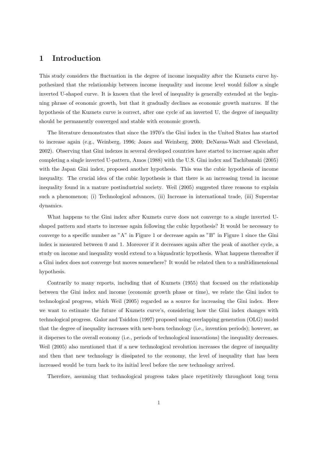#### 1 Introduction

This study considers the fluctuation in the degree of income inequality after the Kuznets curve hypothesized that the relationship between income inequality and income level would follow a single inverted U-shaped curve. It is known that the level of inequality is generally extended at the beginning phrase of economic growth, but that it gradually declines as economic growth matures. If the hypothesis of the Kuznets curve is correct, after one cycle of an inverted U, the degree of inequality should be permanently converged and stable with economic growth.

The literature demonstrates that since the 1970's the Gini index in the United States has started to increase again (e.g., Weinberg, 1996; Jones and Weinberg, 2000; DeNavas-Walt and Cleveland, 2002). Observing that Gini indexes in several developed countries have started to increase again after completing a single inverted U-pattern, Amos (1988) with the U.S. Gini index and Tachibanaki (2005) with the Japan Gini index, proposed another hypothesis. This was the cubic hypothesis of income inequality. The crucial idea of the cubic hypothesis is that there is an increasing trend in income inequality found in a mature postindustrial society. Weil (2005) suggested three reasons to explain such a phenomenon; (i) Technological advances, (ii) Increase in international trade, (iii) Superstar dynamics.

What happens to the Gini index after Kuznets curve does not converge to a single inverted Ushaped pattern and starts to increase again following the cubic hypothesis? It would be necessary to converge to a specific number as "A" in Figure 1 or decrease again as "B" in Figure 1 since the Gini index is measured between 0 and 1. Moreover if it decreases again after the peak of another cycle, a study on income and inequality would extend to a biquadratic hypothesis. What happens thereafter if a Gini index does not converge but moves somewhere? It would be related then to a multidimensional hypothesis.

Contrarily to many reports, including that of Kuznets (1955) that focused on the relationship between the Gini index and income (economic growth phase or time), we relate the Gini index to technological progress, which Weil (2005) regarded as a source for increasing the Gini index. Here we want to estimate the future of Kuznets curve's, considering how the Gini index changes with technological progress. Galor and Tsiddon (1997) proposed using overlapping generation (OLG) model that the degree of inequality increases with new-born technology (i.e., invention periods); however, as it disperses to the overall economy (i.e., periods of technological innovations) the inequality decreases. Weil  $(2005)$  also mentioned that if a new technological revolution increases the degree of inequality and then that new technology is dissipated to the economy, the level of inequality that has been increased would be turn back to its initial level before the new technology arrived.

Therefore, assuming that technological progress takes place repetitively throughout long term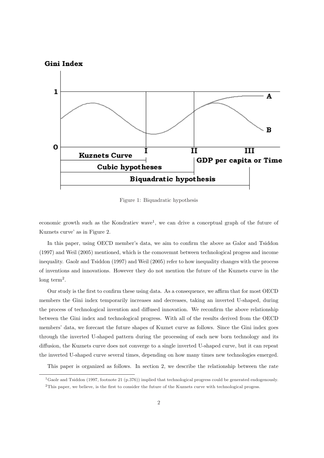

Figure 1: Biquadratic hypothesis

economic growth such as the Kondratiev wave<sup>1</sup>, we can drive a conceptual graph of the future of Kuznets curve' as in Figure 2.

In this paper, using OECD member's data, we aim to confirm the above as Galor and Tsiddon (1997) and Weil (2005) mentioned, which is the comovemnt between technological progess and income inequality. Gaolr and Tsiddon (1997) and Weil (2005) refer to how inequality changes with the process of inventions and innovations. However they do not mention the future of the Kuznets curve in the long term<sup>2</sup>.

Our study is the first to confirm these using data. As a consequence, we affirm that for most OECD members the Gini index temporarily increases and decreases, taking an inverted U-shaped, during the process of technological invention and diffused innovation. We reconfirm the above relationship between the Gini index and technological progress. With all of the results derived from the OECD members' data, we forecast the future shapes of Kuznet curve as follows. Since the Gini index goes through the inverted U-shaped pattern during the processing of each new born technology and its diffusion, the Kuznets curve does not converge to a single inverted U-shaped curve, but it can repeat the inverted U-shaped curve several times, depending on how many times new technologies emerged.

This paper is organized as follows. In section 2, we describe the relationship between the rate

<sup>&</sup>lt;sup>1</sup>Gaolr and Tsiddon (1997, footnote 21 (p.376)) implied that technological progress could be generated endogenously. <sup>2</sup>This paper, we believe, is the first to consider the future of the Kuznets curve with technological progess.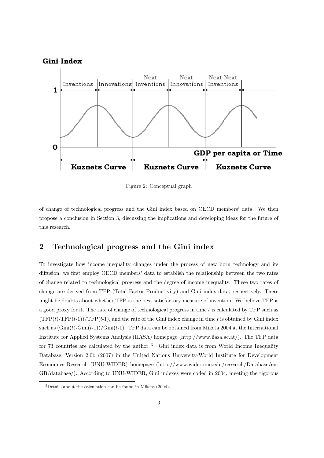

Figure 2: Conceptual graph

of change of technological progress and the Gini index based on OECD members' data. We then propose a conclusion in Section 3, discussing the implications and developing ideas for the future of this research.

### 2 Technological progress and the Gini index

To investigate how income inequality changes under the process of new born technology and its diffusion, we first employ OECD members' data to establish the relationship between the two rates of change related to technological progress and the degree of income inequality. These two rates of change are derived from TFP (Total Factor Productivity) and Gini index data, respectively. There might be doubts about whether TFP is the best satisfactory measure of invention. We believe TFP is a good proxy for it. The rate of change of technological progress in time  $t$  is calculated by TFP such as  $(TFP(t)-TFP(t-1))/TFP(t-1)$ , and the rate of the Gini index change in time t is obtained by Gini index such as  $(\text{Gini}(t)-\text{Gini}(t-1))/\text{Gini}(t-1)$ . TFP data can be obtained from Miketa 2004 at the International Institute for Applied Systems Analysis (IIASA) homepage (http://www.iiasa.ac.at/). The TFP data for 73 countries are calculated by the author <sup>3</sup>. Gini index data is from World Income Inequality Database, Version 2.0b (2007) in the United Nations University-World Institute for Development Economics Research (UNU-WIDER) homepage (http://www.wider.unu.edu/research/Database/en-GB/database/). According to UNU-WIDER, Gini indexes were coded in 2004, meeting the rigorous

<sup>3</sup>Details about the calculation can be found in Miketa (2004).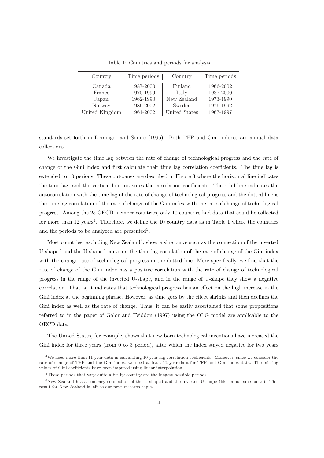| Country        | Time periods | Country       | Time periods |
|----------------|--------------|---------------|--------------|
| Canada         | 1987-2000    | Finland       | 1966-2002    |
| France         | 1970-1999    | Italy         | 1987-2000    |
| Japan          | 1962-1990    | New Zealand   | 1973-1990    |
| Norway         | 1986-2002    | Sweden        | 1976-1992    |
| United Kingdom | 1961-2002    | United States | 1967-1997    |

Table 1: Countries and periods for analysis

standards set forth in Deininger and Squire (1996). Both TFP and Gini indexes are annual data collections.

We investigate the time lag between the rate of change of technological progress and the rate of change of the Gini index and first calculate their time lag correlation coefficients. The time lag is extended to 10 periods. These outcomes are described in Figure 3 where the horizontal line indicates the time lag, and the vertical line measures the correlation coefficients. The solid line indicates the autocorrelation with the time lag of the rate of change of technological progress and the dotted line is the time lag correlation of the rate of change of the Gini index with the rate of change of technological progress. Among the 25 OECD member countries, only 10 countries had data that could be collected for more than 12 years<sup>4</sup>. Therefore, we define the 10 country data as in Table 1 where the countries and the periods to be analyzed are presented<sup>5</sup>.

Most countries, excluding New Zealand<sup>6</sup>, show a sine curve such as the connection of the inverted U-shaped and the U-shaped curve on the time lag correlation of the rate of change of the Gini index with the change rate of technological progress in the dotted line. More specifically, we find that the rate of change of the Gini index has a positive correlation with the rate of change of technological progress in the range of the inverted U-shape, and in the range of U-shape they show a negative correlation. That is, it indicates that technological progress has an effect on the high increase in the Gini index at the beginning phrase. However, as time goes by the effect shrinks and then declines the Gini index as well as the rate of change. Thus, it can be easily ascertained that some propositions referred to in the paper of Galor and Tsiddon (1997) using the OLG model are applicable to the OECD data.

The United States, for example, shows that new born technological inventions have increased the Gini index for three years (from 0 to 3 period), after which the index stayed negative for two years

<sup>4</sup>We need more than 11 year data in calculating 10 year lag correlation coefficients. Moreover, since we consider the rate of change of TFP and the Gini index, we need at least 12 year data for TFP and Gini index data. The missing values of Gini coefficients have been imputed using linear interpolation.

<sup>&</sup>lt;sup>5</sup>These periods that vary quite a bit by country are the longest possible periods.

 $6$ New Zealand has a contrary connection of the U-shaped and the inverted U-shape (like minus sine curve). This result for New Zealand is left as our next research topic.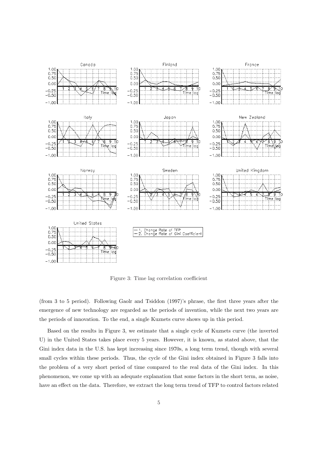

Figure 3: Time lag correlation coefficient

(from 3 to 5 period). Following Gaolr and Tsiddon (1997)'s phrase, the first three years after the emergence of new technology are regarded as the periods of invention, while the next two years are the periods of innovation. To the end, a single Kuznets curve shows up in this period.

Based on the results in Figure 3, we estimate that a single cycle of Kuznets curve (the inverted U) in the United States takes place every 5 years. However, it is known, as stated above, that the Gini index data in the U.S. has kept increasing since 1970s, a long term trend, though with several small cycles within these periods. Thus, the cycle of the Gini index obtained in Figure 3 falls into the problem of a very short period of time compared to the real data of the Gini index. In this phenomenon, we come up with an adequate explanation that some factors in the short term, as noise, have an effect on the data. Therefore, we extract the long term trend of TFP to control factors related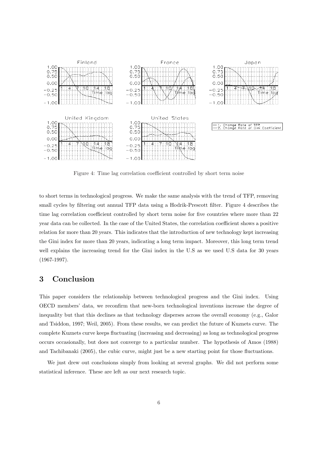

Figure 4: Time lag correlation coefficient controlled by short term noise

to short terms in technological progress. We make the same analysis with the trend of TFP, removing small cycles by filtering out annual TFP data using a Hodrik-Prescott filter. Figure 4 describes the time lag correlation coefficient controlled by short term noise for five countries where more than 22 year data can be collected. In the case of the United States, the correlation coefficient shows a positive relation for more than 20 years. This indicates that the introduction of new technology kept increasing the Gini index for more than 20 years, indicating a long term impact. Moreover, this long term trend well explains the increasing trend for the Gini index in the U.S as we used U.S data for 30 years (1967-1997).

#### 3 Conclusion

This paper considers the relationship between technological progress and the Gini index. Using OECD members' data, we reconfirm that new-born technological inventions increase the degree of inequality but that this declines as that technology disperses across the overall economy (e.g., Galor and Tsiddon, 1997; Weil, 2005). From these results, we can predict the future of Kuznets curve. The complete Kuznets curve keeps fluctuating (increasing and decreasing) as long as technological progress occurs occasionally, but does not converge to a particular number. The hypothesis of Amos (1988) and Tachibanaki (2005), the cubic curve, might just be a new starting point for those fluctuations.

We just drew out conclusions simply from looking at several graphs. We did not perform some statistical inference. These are left as our next research topic.